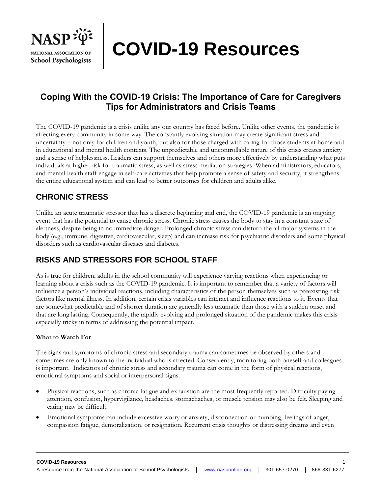

**COVID-19 Resources**

# **Coping With the COVID-19 Crisis: The Importance of Care for Caregivers Tips for Administrators and Crisis Teams**

The COVID-19 pandemic is a crisis unlike any our country has faced before. Unlike other events, the pandemic is affecting every community in some way. The constantly evolving situation may create significant stress and uncertainty—not only for children and youth, but also for those charged with caring for those students at home and in educational and mental health contexts. The unpredictable and uncontrollable nature of this crisis creates anxiety and a sense of helplessness. Leaders can support themselves and others more effectively by understanding what puts individuals at higher risk for traumatic stress, as well as stress mediation strategies. When administrators, educators, and mental health staff engage in self-care activities that help promote a sense of safety and security, it strengthens the entire educational system and can lead to better outcomes for children and adults alike.

### **CHRONIC STRESS**

Unlike an acute traumatic stressor that has a discrete beginning and end, the COVID-19 pandemic is an ongoing event that has the potential to cause chronic stress. Chronic stress causes the body to stay in a constant state of alertness, despite being in no immediate danger. Prolonged chronic stress can disturb the all major systems in the body (e.g., immune, digestive, cardiovascular, sleep) and can increase risk for psychiatric disorders and some physical disorders such as cardiovascular diseases and diabetes.

## **RISKS AND STRESSORS FOR SCHOOL STAFF**

As is true for children, adults in the school community will experience varying reactions when experiencing or learning about a crisis such as the COVID-19 pandemic. It is important to remember that a variety of factors will influence a person's individual reactions, including characteristics of the person themselves such as preexisting risk factors like mental illness. In addition, certain crisis variables can interact and influence reactions to it. Events that are somewhat predictable and of shorter duration are generally less traumatic than those with a sudden onset and that are long lasting. Consequently, the rapidly evolving and prolonged situation of the pandemic makes this crisis especially tricky in terms of addressing the potential impact.

#### **What to Watch For**

The signs and symptoms of chronic stress and secondary trauma can sometimes be observed by others and sometimes are only known to the individual who is affected. Consequently, monitoring both oneself and colleagues is important. Indicators of chronic stress and secondary trauma can come in the form of physical reactions, emotional symptoms and social or interpersonal signs.

- Physical reactions, such as chronic fatigue and exhaustion are the most frequently reported. Difficulty paying attention, confusion, hypervigilance, headaches, stomachaches, or muscle tension may also be felt. Sleeping and eating may be difficult.
- Emotional symptoms can include excessive worry or anxiety, disconnection or numbing, feelings of anger, compassion fatigue, demoralization, or resignation. Recurrent crisis thoughts or distressing dreams and even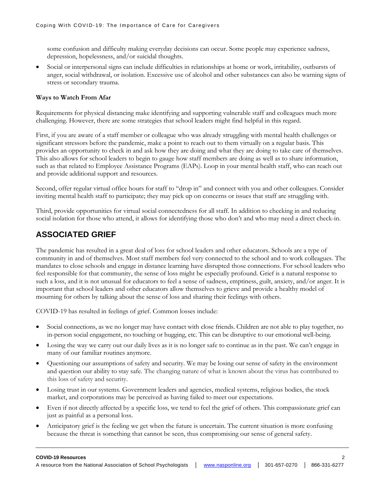some confusion and difficulty making everyday decisions can occur. Some people may experience sadness, depression, hopelessness, and/or suicidal thoughts.

• Social or interpersonal signs can include difficulties in relationships at home or work, irritability, outbursts of anger, social withdrawal, or isolation. Excessive use of alcohol and other substances can also be warning signs of stress or secondary trauma.

#### **Ways to Watch From Afar**

Requirements for physical distancing make identifying and supporting vulnerable staff and colleagues much more challenging. However, there are some strategies that school leaders might find helpful in this regard.

First, if you are aware of a staff member or colleague who was already struggling with mental health challenges or significant stressors before the pandemic, make a point to reach out to them virtually on a regular basis. This provides an opportunity to check in and ask how they are doing and what they are doing to take care of themselves. This also allows for school leaders to begin to gauge how staff members are doing as well as to share information, such as that related to Employee Assistance Programs (EAPs). Loop in your mental health staff, who can reach out and provide additional support and resources.

Second, offer regular virtual office hours for staff to "drop in" and connect with you and other colleagues. Consider inviting mental health staff to participate; they may pick up on concerns or issues that staff are struggling with.

Third, provide opportunities for virtual social connectedness for all staff. In addition to checking in and reducing social isolation for those who attend, it allows for identifying those who don't and who may need a direct check-in.

#### **ASSOCIATED GRIEF**

The pandemic has resulted in a great deal of loss for school leaders and other educators. Schools are a type of community in and of themselves. Most staff members feel very connected to the school and to work colleagues. The mandates to close schools and engage in distance learning have disrupted those connections. For school leaders who feel responsible for that community, the sense of loss might be especially profound. Grief is a natural response to such a loss, and it is not unusual for educators to feel a sense of sadness, emptiness, guilt, anxiety, and/or anger. It is important that school leaders and other educators allow themselves to grieve and provide a healthy model of mourning for others by talking about the sense of loss and sharing their feelings with others.

COVID-19 has resulted in feelings of grief. Common losses include:

- Social connections, as we no longer may have contact with close friends. Children are not able to play together, no in-person social engagement, no touching or hugging, etc. This can be disruptive to our emotional well-being.
- Losing the way we carry out our daily lives as it is no longer safe to continue as in the past. We can't engage in many of our familiar routines anymore.
- Questioning our assumptions of safety and security. We may be losing our sense of safety in the environment and question our ability to stay safe. The changing nature of what is known about the virus has contributed to this loss of safety and security.
- Losing trust in our systems. Government leaders and agencies, medical systems, religious bodies, the stock market, and corporations may be perceived as having failed to meet our expectations.
- Even if not directly affected by a specific loss, we tend to feel the grief of others. This compassionate grief can just as painful as a personal loss.
- Anticipatory grief is the feeling we get when the future is uncertain. The current situation is more confusing because the threat is something that cannot be seen, thus compromising our sense of general safety.

#### **COVID-19 Resources** 2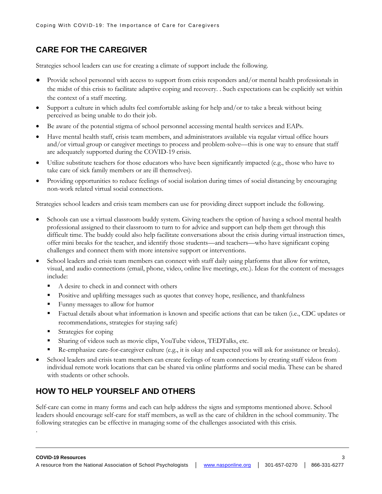## **CARE FOR THE CAREGIVER**

Strategies school leaders can use for creating a climate of support include the following.

- Provide school personnel with access to support from crisis responders and/or mental health professionals in the midst of this crisis to facilitate adaptive coping and recovery. . Such expectations can be explicitly set within the context of a staff meeting.
- Support a culture in which adults feel comfortable asking for help and/or to take a break without being perceived as being unable to do their job.
- Be aware of the potential stigma of school personnel accessing mental health services and EAPs.
- Have mental health staff, crisis team members, and administrators available via regular virtual office hours and/or virtual group or caregiver meetings to process and problem-solve—this is one way to ensure that staff are adequately supported during the COVID-19 crisis.
- Utilize substitute teachers for those educators who have been significantly impacted (e.g., those who have to take care of sick family members or are ill themselves).
- Providing opportunities to reduce feelings of social isolation during times of social distancing by encouraging non-work related virtual social connections.

Strategies school leaders and crisis team members can use for providing direct support include the following.

- Schools can use a virtual classroom buddy system. Giving teachers the option of having a school mental health professional assigned to their classroom to turn to for advice and support can help them get through this difficult time. The buddy could also help facilitate conversations about the crisis during virtual instruction times, offer mini breaks for the teacher, and identify those students—and teachers—who have significant coping challenges and connect them with more intensive support or interventions.
- School leaders and crisis team members can connect with staff daily using platforms that allow for written, visual, and audio connections (email, phone, video, online live meetings, etc.). Ideas for the content of messages include:
	- A desire to check in and connect with others
	- **•** Positive and uplifting messages such as quotes that convey hope, resilience, and thankfulness
	- Funny messages to allow for humor
	- Factual details about what information is known and specific actions that can be taken (i.e., CDC updates or recommendations, strategies for staying safe)
	- Strategies for coping

.

- Sharing of videos such as movie clips, YouTube videos, TEDTalks, etc.
- Re-emphasize care-for-caregiver culture (e.g., it is okay and expected you will ask for assistance or breaks).
- School leaders and crisis team members can create feelings of team connections by creating staff videos from individual remote work locations that can be shared via online platforms and social media. These can be shared with students or other schools.

## **HOW TO HELP YOURSELF AND OTHERS**

Self-care can come in many forms and each can help address the signs and symptoms mentioned above. School leaders should encourage self-care for staff members, as well as the care of children in the school community. The following strategies can be effective in managing some of the challenges associated with this crisis.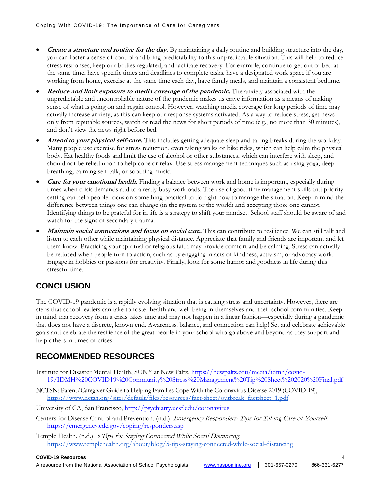- **Create a structure and routine for the day.** By maintaining a daily routine and building structure into the day, you can foster a sense of control and bring predictability to this unpredictable situation. This will help to reduce stress responses, keep our bodies regulated, and facilitate recovery. For example, continue to get out of bed at the same time, have specific times and deadlines to complete tasks, have a designated work space if you are working from home, exercise at the same time each day, have family meals, and maintain a consistent bedtime.
- **Reduce and limit exposure to media coverage of the pandemic.** The anxiety associated with the unpredictable and uncontrollable nature of the pandemic makes us crave information as a means of making sense of what is going on and regain control. However, watching media coverage for long periods of time may actually increase anxiety, as this can keep our response systems activated. As a way to reduce stress, get news only from reputable sources, watch or read the news for short periods of time (e.g., no more than 30 minutes), and don't view the news right before bed.
- **Attend to your physical self-care.** This includes getting adequate sleep and taking breaks during the workday. Many people use exercise for stress reduction, even taking walks or bike rides, which can help calm the physical body. Eat healthy foods and limit the use of alcohol or other substances, which can interfere with sleep, and should not be relied upon to help cope or relax. Use stress management techniques such as using yoga, deep breathing, calming self-talk, or soothing music.
- **Care for your emotional health.** Finding a balance between work and home is important, especially during times when crisis demands add to already busy workloads. The use of good time management skills and priority setting can help people focus on something practical to do right now to manage the situation. Keep in mind the difference between things one can change (in the system or the world) and accepting those one cannot. Identifying things to be grateful for in life is a strategy to shift your mindset. School staff should be aware of and watch for the signs of secondary trauma.
- **Maintain social connections and focus on social care.** This can contribute to resilience. We can still talk and listen to each other while maintaining physical distance. Appreciate that family and friends are important and let them know. Practicing your spiritual or religious faith may provide comfort and be calming. Stress can actually be reduced when people turn to action, such as by engaging in acts of kindness, activism, or advocacy work. Engage in hobbies or passions for creativity. Finally, look for some humor and goodness in life during this stressful time.

# **CONCLUSION**

The COVID-19 pandemic is a rapidly evolving situation that is causing stress and uncertainty. However, there are steps that school leaders can take to foster health and well-being in themselves and their school communities. Keep in mind that recovery from a crisis takes time and may not happen in a linear fashion—especially during a pandemic that does not have a discrete, known end. Awareness, balance, and connection can help! Set and celebrate achievable goals and celebrate the resilience of the great people in your school who go above and beyond as they support and help others in times of crises.

## **RECOMMENDED RESOURCES**

- Institute for Disaster Mental Health, SUNY at New Paltz, [https://newpaltz.edu/media/idmh/covid-](https://newpaltz.edu/media/idmh/covid-19/IDMH%20COVID19%20Community%20Stress%20Management%20Tip%20Sheet%202020%20Final.pdf)[19/IDMH%20COVID19%20Community%20Stress%20Management%20Tip%20Sheet%202020%20Final.pdf](https://newpaltz.edu/media/idmh/covid-19/IDMH%20COVID19%20Community%20Stress%20Management%20Tip%20Sheet%202020%20Final.pdf)
- NCTSN: Parent/Caregiver Guide to Helping Families Cope With the Coronavirus Disease 2019 (COVID-19), [https://www.nctsn.org/sites/default/files/resources/fact-sheet/outbreak\\_factsheet\\_1.pdf](https://www.nctsn.org/sites/default/files/resources/fact-sheet/outbreak_factsheet_1.pdf)

University of CA, San Francisco, <http://psychiatry.ucsf.edu/coronavirus>

Centers for Disease Control and Prevention. (n.d.). Emergency Responders: Tips for Taking Care of Yourself. <https://emergency.cdc.gov/coping/responders.asp>

Temple Health. (n.d.). 5 Tips for Staying Connected While Social Distancin[g.](https://www.templehealth.org/about/blog/5-tips-staying-connected-while-social-distancing) <https://www.templehealth.org/about/blog/5-tips-staying-connected-while-social-distancing>

#### **COVID-19 Resources** 4